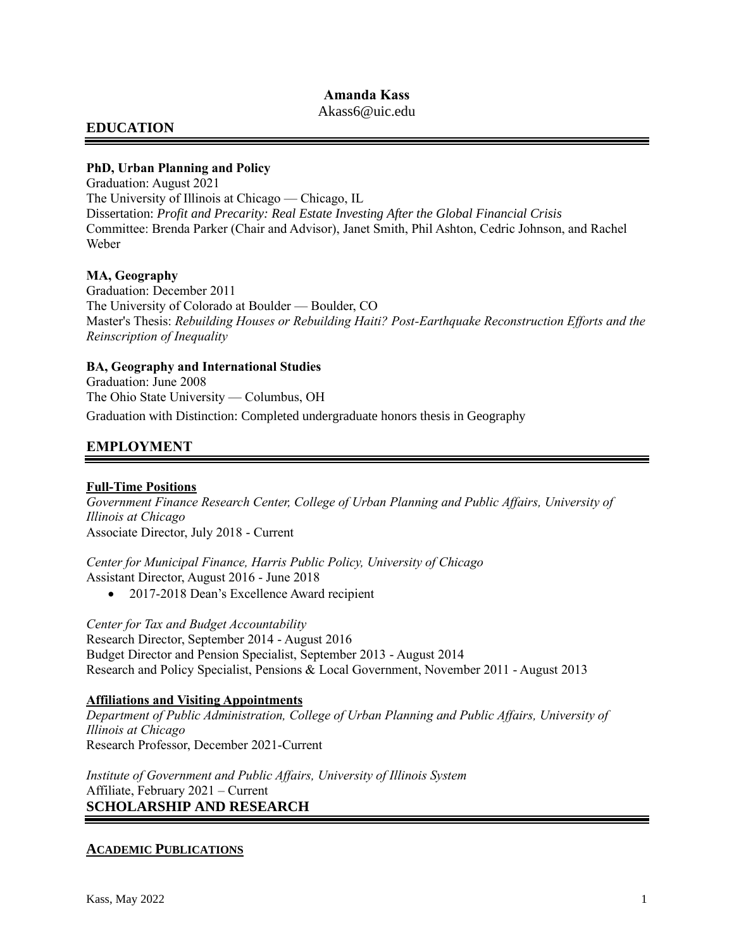# **Amanda Kass**

Akass6@uic.edu

# **EDUCATION**

### **PhD, Urban Planning and Policy**

Graduation: August 2021 The University of Illinois at Chicago — Chicago, IL Dissertation: *Profit and Precarity: Real Estate Investing After the Global Financial Crisis* Committee: Brenda Parker (Chair and Advisor), Janet Smith, Phil Ashton, Cedric Johnson, and Rachel Weber

### **MA, Geography**

Graduation: December 2011 The University of Colorado at Boulder — Boulder, CO Master's Thesis: *Rebuilding Houses or Rebuilding Haiti? Post-Earthquake Reconstruction Efforts and the Reinscription of Inequality*

### **BA, Geography and International Studies**

Graduation: June 2008 The Ohio State University — Columbus, OH Graduation with Distinction: Completed undergraduate honors thesis in Geography

# **EMPLOYMENT**

### **Full-Time Positions**

*Government Finance Research Center, College of Urban Planning and Public Affairs, University of Illinois at Chicago* Associate Director, July 2018 - Current

*Center for Municipal Finance, Harris Public Policy, University of Chicago* Assistant Director, August 2016 - June 2018

• 2017-2018 Dean's Excellence Award recipient

*Center for Tax and Budget Accountability* Research Director, September 2014 - August 2016 Budget Director and Pension Specialist, September 2013 - August 2014 Research and Policy Specialist, Pensions & Local Government, November 2011 - August 2013

#### **Affiliations and Visiting Appointments**

*Department of Public Administration, College of Urban Planning and Public Affairs, University of Illinois at Chicago* Research Professor, December 2021-Current

*Institute of Government and Public Affairs, University of Illinois System* Affiliate, February 2021 – Current **SCHOLARSHIP AND RESEARCH**

### **ACADEMIC PUBLICATIONS**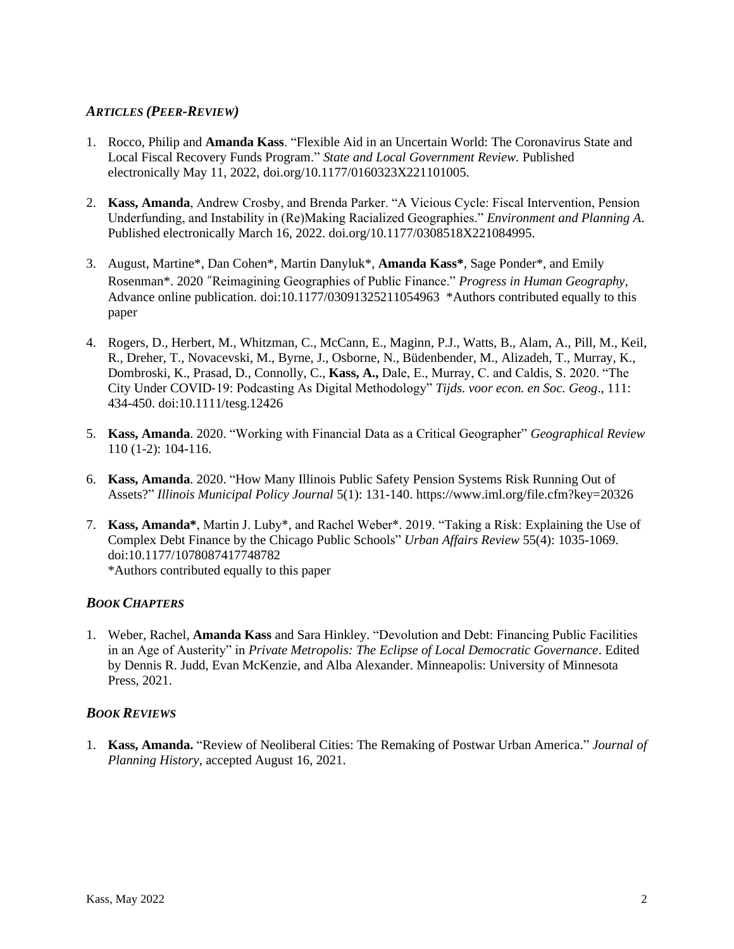### *ARTICLES (PEER-REVIEW)*

- 1. Rocco, Philip and **Amanda Kass**. "Flexible Aid in an Uncertain World: The Coronavirus State and Local Fiscal Recovery Funds Program." *State and Local Government Review.* Published electronically May 11, 2022, doi.org/10.1177/0160323X221101005.
- 2. **Kass, Amanda**, Andrew Crosby, and Brenda Parker. "A Vicious Cycle: Fiscal Intervention, Pension Underfunding, and Instability in (Re)Making Racialized Geographies." *Environment and Planning A*. Published electronically March 16, 2022. [doi.org/10.1177/0308518X221084995.](https://doi.org/10.1177%2F0308518X221084995)
- 3. August, Martine\*, Dan Cohen\*, Martin Danyluk\*, **Amanda Kass\***, Sage Ponder\*, and Emily Rosenman\*. 2020 "Reimagining Geographies of Public Finance." *Progress in Human Geography*, Advance online publication. doi:10.1177/03091325211054963 \*Authors contributed equally to this paper
- 4. Rogers, D., Herbert, M., Whitzman, C., McCann, E., Maginn, P.J., Watts, B., Alam, A., Pill, M., Keil, R., Dreher, T., Novacevski, M., Byrne, J., Osborne, N., Büdenbender, M., Alizadeh, T., Murray, K., Dombroski, K., Prasad, D., Connolly, C., **Kass, A.,** Dale, E., Murray, C. and Caldis, S. 2020. "The City Under COVID‐19: Podcasting As Digital Methodology" *Tijds. voor econ. en Soc. Geog*., 111: 434-450. doi:10.1111/tesg.12426
- 5. **Kass, Amanda**. 2020. "Working with Financial Data as a Critical Geographer" *Geographical Review*  110 (1-2): 104-116.
- 6. **Kass, Amanda**. 2020. "How Many Illinois Public Safety Pension Systems Risk Running Out of Assets?" *Illinois Municipal Policy Journal* 5(1): 131-140. https://www.iml.org/file.cfm?key=20326
- 7. **Kass, Amanda\***, Martin J. Luby\*, and Rachel Weber\*. 2019. "Taking a Risk: Explaining the Use of Complex Debt Finance by the Chicago Public Schools" *Urban Affairs Review* 55(4): 1035-1069. doi:10.1177/1078087417748782 \*Authors contributed equally to this paper

### *BOOK CHAPTERS*

1. Weber, Rachel, **Amanda Kass** and Sara Hinkley. "Devolution and Debt: Financing Public Facilities in an Age of Austerity" in *Private Metropolis: The Eclipse of Local Democratic Governance*. Edited by Dennis R. Judd, Evan McKenzie, and Alba Alexander. Minneapolis: University of Minnesota Press, 2021.

#### *BOOK REVIEWS*

1. **Kass, Amanda.** "Review of Neoliberal Cities: The Remaking of Postwar Urban America." *Journal of Planning History*, accepted August 16, 2021.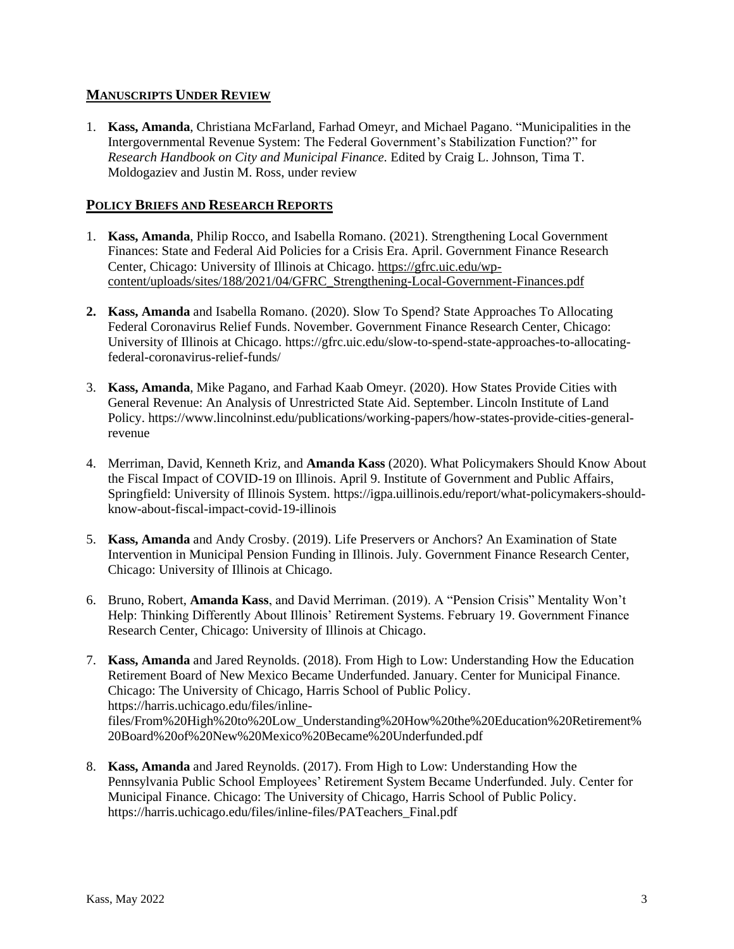### **MANUSCRIPTS UNDER REVIEW**

1. **Kass, Amanda**, Christiana McFarland, Farhad Omeyr, and Michael Pagano. "Municipalities in the Intergovernmental Revenue System: The Federal Government's Stabilization Function?" for *Research Handbook on City and Municipal Finance.* Edited by Craig L. Johnson, Tima T. Moldogaziev and Justin M. Ross, under review

### **POLICY BRIEFS AND RESEARCH REPORTS**

- 1. **Kass, Amanda**, Philip Rocco, and Isabella Romano. (2021). Strengthening Local Government Finances: State and Federal Aid Policies for a Crisis Era. April. Government Finance Research Center, Chicago: University of Illinois at Chicago. [https://gfrc.uic.edu/wp](https://gfrc.uic.edu/wp-content/uploads/sites/188/2021/04/GFRC_Strengthening-Local-Government-Finances.pdf)[content/uploads/sites/188/2021/04/GFRC\\_Strengthening-Local-Government-Finances.pdf](https://gfrc.uic.edu/wp-content/uploads/sites/188/2021/04/GFRC_Strengthening-Local-Government-Finances.pdf)
- **2. Kass, Amanda** and Isabella Romano. (2020). Slow To Spend? State Approaches To Allocating Federal Coronavirus Relief Funds. November. Government Finance Research Center, Chicago: University of Illinois at Chicago. https://gfrc.uic.edu/slow-to-spend-state-approaches-to-allocatingfederal-coronavirus-relief-funds/
- 3. **Kass, Amanda**, Mike Pagano, and Farhad Kaab Omeyr. (2020). How States Provide Cities with General Revenue: An Analysis of Unrestricted State Aid. September. Lincoln Institute of Land Policy. https://www.lincolninst.edu/publications/working-papers/how-states-provide-cities-generalrevenue
- 4. Merriman, David, Kenneth Kriz, and **Amanda Kass** (2020). What Policymakers Should Know About the Fiscal Impact of COVID-19 on Illinois. April 9. Institute of Government and Public Affairs, Springfield: University of Illinois System. https://igpa.uillinois.edu/report/what-policymakers-shouldknow-about-fiscal-impact-covid-19-illinois
- 5. **Kass, Amanda** and Andy Crosby. (2019). Life Preservers or Anchors? An Examination of State Intervention in Municipal Pension Funding in Illinois. July. Government Finance Research Center, Chicago: University of Illinois at Chicago.
- 6. Bruno, Robert, **Amanda Kass**, and David Merriman. (2019). A "Pension Crisis" Mentality Won't Help: Thinking Differently About Illinois' Retirement Systems. February 19. Government Finance Research Center, Chicago: University of Illinois at Chicago.
- 7. **Kass, Amanda** and Jared Reynolds. (2018). From High to Low: Understanding How the Education Retirement Board of New Mexico Became Underfunded. January. Center for Municipal Finance. Chicago: The University of Chicago, Harris School of Public Policy. https://harris.uchicago.edu/files/inlinefiles/From%20High%20to%20Low\_Understanding%20How%20the%20Education%20Retirement% 20Board%20of%20New%20Mexico%20Became%20Underfunded.pdf
- 8. **Kass, Amanda** and Jared Reynolds. (2017). From High to Low: Understanding How the Pennsylvania Public School Employees' Retirement System Became Underfunded. July. Center for Municipal Finance. Chicago: The University of Chicago, Harris School of Public Policy. https://harris.uchicago.edu/files/inline-files/PATeachers\_Final.pdf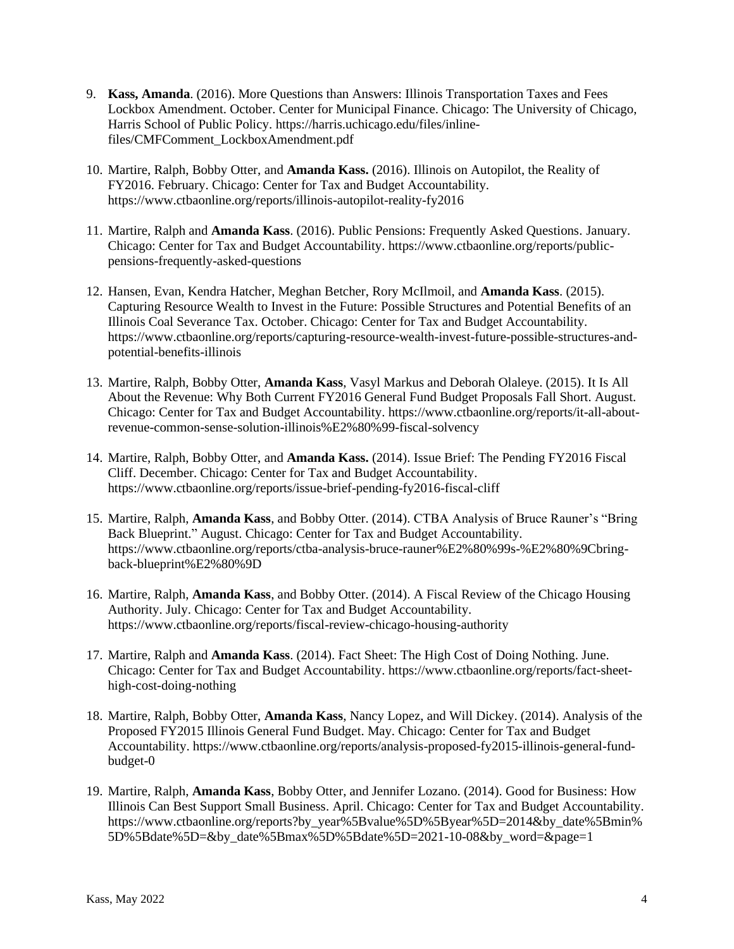- 9. **Kass, Amanda**. (2016). More Questions than Answers: Illinois Transportation Taxes and Fees Lockbox Amendment. October. Center for Municipal Finance. Chicago: The University of Chicago, Harris School of Public Policy. https://harris.uchicago.edu/files/inlinefiles/CMFComment\_LockboxAmendment.pdf
- 10. Martire, Ralph, Bobby Otter, and **Amanda Kass.** (2016). Illinois on Autopilot, the Reality of FY2016. February. Chicago: Center for Tax and Budget Accountability. https://www.ctbaonline.org/reports/illinois-autopilot-reality-fy2016
- 11. Martire, Ralph and **Amanda Kass**. (2016). Public Pensions: Frequently Asked Questions. January. Chicago: Center for Tax and Budget Accountability. https://www.ctbaonline.org/reports/publicpensions-frequently-asked-questions
- 12. Hansen, Evan, Kendra Hatcher, Meghan Betcher, Rory McIlmoil, and **Amanda Kass**. (2015). Capturing Resource Wealth to Invest in the Future: Possible Structures and Potential Benefits of an Illinois Coal Severance Tax. October. Chicago: Center for Tax and Budget Accountability. https://www.ctbaonline.org/reports/capturing-resource-wealth-invest-future-possible-structures-andpotential-benefits-illinois
- 13. Martire, Ralph, Bobby Otter, **Amanda Kass**, Vasyl Markus and Deborah Olaleye. (2015). It Is All About the Revenue: Why Both Current FY2016 General Fund Budget Proposals Fall Short. August. Chicago: Center for Tax and Budget Accountability. https://www.ctbaonline.org/reports/it-all-aboutrevenue-common-sense-solution-illinois%E2%80%99-fiscal-solvency
- 14. Martire, Ralph, Bobby Otter, and **Amanda Kass.** (2014). Issue Brief: The Pending FY2016 Fiscal Cliff. December. Chicago: Center for Tax and Budget Accountability. https://www.ctbaonline.org/reports/issue-brief-pending-fy2016-fiscal-cliff
- 15. Martire, Ralph, **Amanda Kass**, and Bobby Otter. (2014). CTBA Analysis of Bruce Rauner's "Bring Back Blueprint." August. Chicago: Center for Tax and Budget Accountability. https://www.ctbaonline.org/reports/ctba-analysis-bruce-rauner%E2%80%99s-%E2%80%9Cbringback-blueprint%E2%80%9D
- 16. Martire, Ralph, **Amanda Kass**, and Bobby Otter. (2014). A Fiscal Review of the Chicago Housing Authority. July. Chicago: Center for Tax and Budget Accountability. https://www.ctbaonline.org/reports/fiscal-review-chicago-housing-authority
- 17. Martire, Ralph and **Amanda Kass**. (2014). Fact Sheet: The High Cost of Doing Nothing. June. Chicago: Center for Tax and Budget Accountability. https://www.ctbaonline.org/reports/fact-sheethigh-cost-doing-nothing
- 18. Martire, Ralph, Bobby Otter, **Amanda Kass**, Nancy Lopez, and Will Dickey. (2014). Analysis of the Proposed FY2015 Illinois General Fund Budget. May. Chicago: Center for Tax and Budget Accountability. https://www.ctbaonline.org/reports/analysis-proposed-fy2015-illinois-general-fundbudget-0
- 19. Martire, Ralph, **Amanda Kass**, Bobby Otter, and Jennifer Lozano. (2014). Good for Business: How Illinois Can Best Support Small Business. April. Chicago: Center for Tax and Budget Accountability. https://www.ctbaonline.org/reports?by\_year%5Bvalue%5D%5Byear%5D=2014&by\_date%5Bmin% 5D%5Bdate%5D=&by\_date%5Bmax%5D%5Bdate%5D=2021-10-08&by\_word=&page=1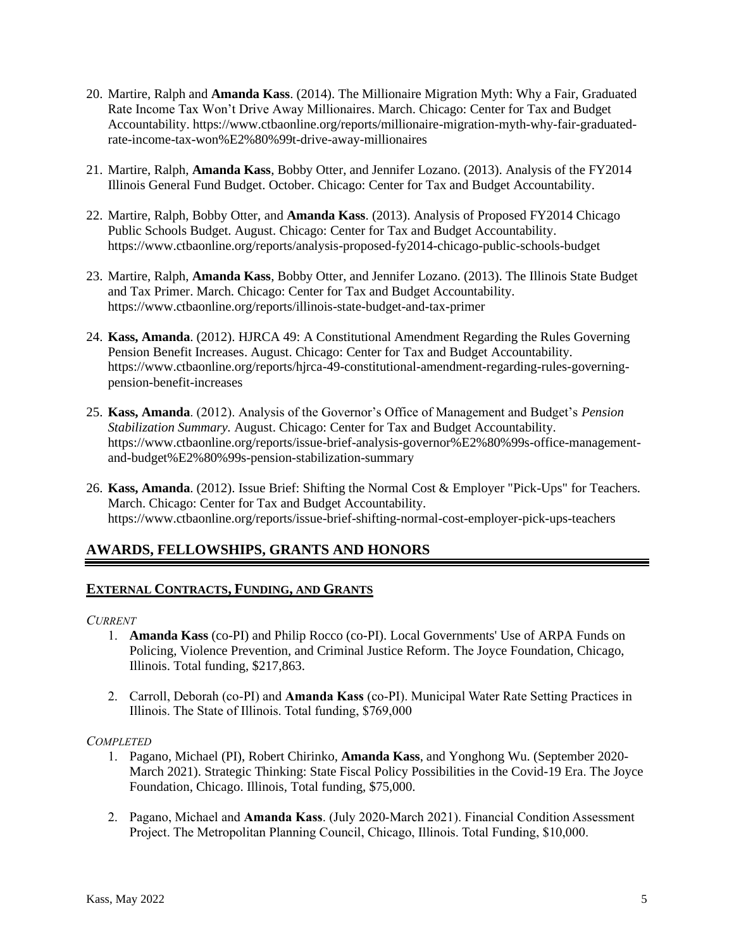- 20. Martire, Ralph and **Amanda Kass**. (2014). The Millionaire Migration Myth: Why a Fair, Graduated Rate Income Tax Won't Drive Away Millionaires. March. Chicago: Center for Tax and Budget Accountability. https://www.ctbaonline.org/reports/millionaire-migration-myth-why-fair-graduatedrate-income-tax-won%E2%80%99t-drive-away-millionaires
- 21. Martire, Ralph, **Amanda Kass**, Bobby Otter, and Jennifer Lozano. (2013). Analysis of the FY2014 Illinois General Fund Budget. October. Chicago: Center for Tax and Budget Accountability.
- 22. Martire, Ralph, Bobby Otter, and **Amanda Kass**. (2013). Analysis of Proposed FY2014 Chicago Public Schools Budget. August. Chicago: Center for Tax and Budget Accountability. https://www.ctbaonline.org/reports/analysis-proposed-fy2014-chicago-public-schools-budget
- 23. Martire, Ralph, **Amanda Kass**, Bobby Otter, and Jennifer Lozano. (2013). The Illinois State Budget and Tax Primer. March. Chicago: Center for Tax and Budget Accountability. https://www.ctbaonline.org/reports/illinois-state-budget-and-tax-primer
- 24. **Kass, Amanda**. (2012). HJRCA 49: A Constitutional Amendment Regarding the Rules Governing Pension Benefit Increases. August. Chicago: Center for Tax and Budget Accountability. https://www.ctbaonline.org/reports/hjrca-49-constitutional-amendment-regarding-rules-governingpension-benefit-increases
- 25. **Kass, Amanda**. (2012). Analysis of the Governor's Office of Management and Budget's *Pension Stabilization Summary.* August. Chicago: Center for Tax and Budget Accountability. https://www.ctbaonline.org/reports/issue-brief-analysis-governor%E2%80%99s-office-managementand-budget%E2%80%99s-pension-stabilization-summary
- 26. **Kass, Amanda**. (2012). Issue Brief: Shifting the Normal Cost & Employer "Pick-Ups" for Teachers*.* March. Chicago: Center for Tax and Budget Accountability. https://www.ctbaonline.org/reports/issue-brief-shifting-normal-cost-employer-pick-ups-teachers

# **AWARDS, FELLOWSHIPS, GRANTS AND HONORS**

### **EXTERNAL CONTRACTS, FUNDING, AND GRANTS**

#### *CURRENT*

- 1. **Amanda Kass** (co-PI) and Philip Rocco (co-PI). Local Governments' Use of ARPA Funds on Policing, Violence Prevention, and Criminal Justice Reform. The Joyce Foundation, Chicago, Illinois. Total funding, \$217,863.
- 2. Carroll, Deborah (co-PI) and **Amanda Kass** (co-PI). Municipal Water Rate Setting Practices in Illinois. The State of Illinois. Total funding, \$769,000

#### *COMPLETED*

- 1. Pagano, Michael (PI), Robert Chirinko, **Amanda Kass**, and Yonghong Wu. (September 2020- March 2021). Strategic Thinking: State Fiscal Policy Possibilities in the Covid-19 Era. The Joyce Foundation, Chicago. Illinois, Total funding, \$75,000.
- 2. Pagano, Michael and **Amanda Kass**. (July 2020-March 2021). Financial Condition Assessment Project. The Metropolitan Planning Council, Chicago, Illinois. Total Funding, \$10,000.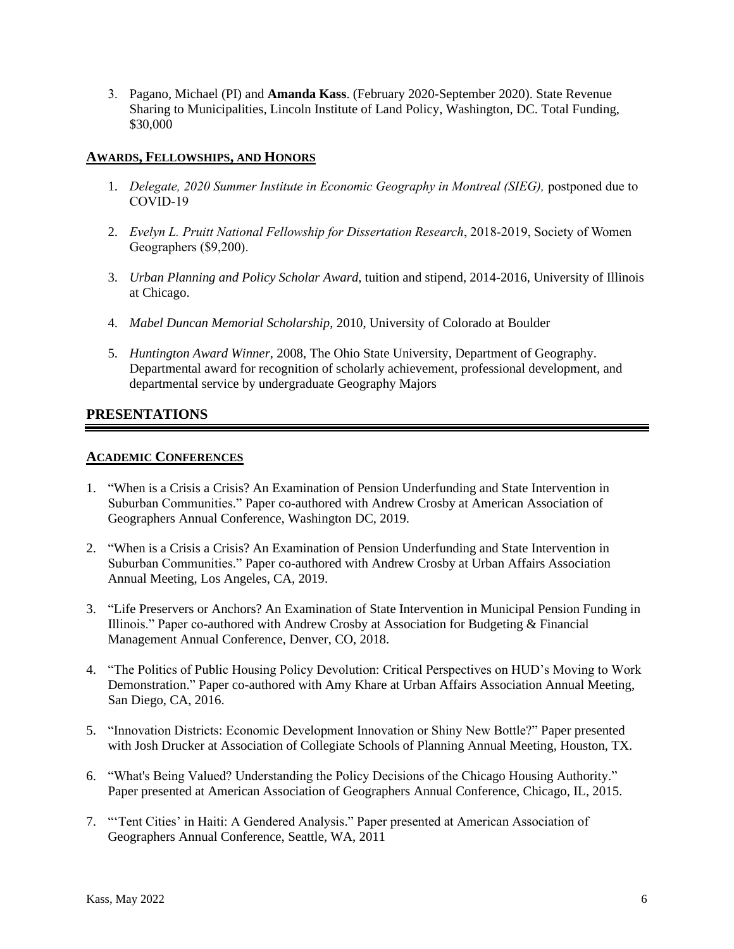3. Pagano, Michael (PI) and **Amanda Kass**. (February 2020-September 2020). State Revenue Sharing to Municipalities*,* Lincoln Institute of Land Policy, Washington, DC. Total Funding, \$30,000

### **AWARDS, FELLOWSHIPS, AND HONORS**

- 1. *Delegate, 2020 Summer Institute in Economic Geography in Montreal (SIEG),* postponed due to COVID-19
- 2. *Evelyn L. Pruitt National Fellowship for Dissertation Research*, 2018-2019, Society of Women Geographers (\$9,200).
- 3. *Urban Planning and Policy Scholar Award*, tuition and stipend, 2014-2016, University of Illinois at Chicago.
- 4. *Mabel Duncan Memorial Scholarship*, 2010, University of Colorado at Boulder
- 5. *Huntington Award Winner,* 2008, The Ohio State University, Department of Geography. Departmental award for recognition of scholarly achievement, professional development, and departmental service by undergraduate Geography Majors

## **PRESENTATIONS**

#### **ACADEMIC CONFERENCES**

- 1. "When is a Crisis a Crisis? An Examination of Pension Underfunding and State Intervention in Suburban Communities." Paper co-authored with Andrew Crosby at American Association of Geographers Annual Conference, Washington DC, 2019.
- 2. "When is a Crisis a Crisis? An Examination of Pension Underfunding and State Intervention in Suburban Communities." Paper co-authored with Andrew Crosby at Urban Affairs Association Annual Meeting, Los Angeles, CA, 2019.
- 3. "Life Preservers or Anchors? An Examination of State Intervention in Municipal Pension Funding in Illinois." Paper co-authored with Andrew Crosby at Association for Budgeting & Financial Management Annual Conference, Denver, CO, 2018.
- 4. "The Politics of Public Housing Policy Devolution: Critical Perspectives on HUD's Moving to Work Demonstration." Paper co-authored with Amy Khare at Urban Affairs Association Annual Meeting, San Diego, CA, 2016.
- 5. "Innovation Districts: Economic Development Innovation or Shiny New Bottle?" Paper presented with Josh Drucker at Association of Collegiate Schools of Planning Annual Meeting, Houston, TX.
- 6. "What's Being Valued? Understanding the Policy Decisions of the Chicago Housing Authority." Paper presented at American Association of Geographers Annual Conference, Chicago, IL, 2015.
- 7. "'Tent Cities' in Haiti: A Gendered Analysis." Paper presented at American Association of Geographers Annual Conference, Seattle, WA, 2011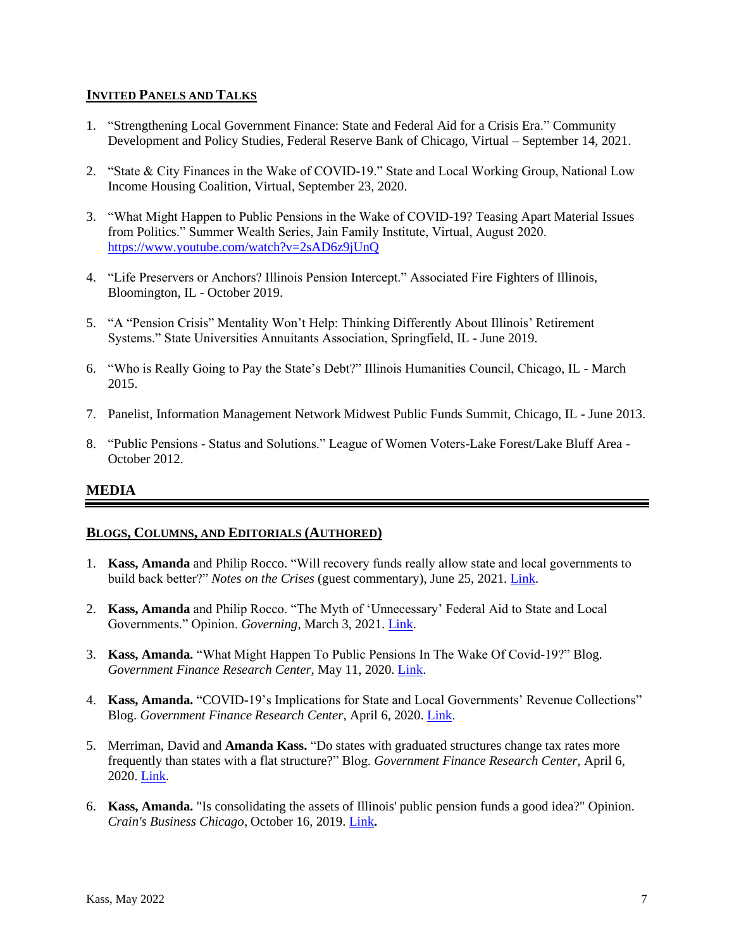### **INVITED PANELS AND TALKS**

- 1. "Strengthening Local Government Finance: State and Federal Aid for a Crisis Era." Community Development and Policy Studies, Federal Reserve Bank of Chicago, Virtual – September 14, 2021.
- 2. "State & City Finances in the Wake of COVID-19." State and Local Working Group, National Low Income Housing Coalition, Virtual, September 23, 2020.
- 3. "What Might Happen to Public Pensions in the Wake of COVID-19? Teasing Apart Material Issues from Politics." Summer Wealth Series, Jain Family Institute, Virtual, August 2020. <https://www.youtube.com/watch?v=2sAD6z9jUnQ>
- 4. "Life Preservers or Anchors? Illinois Pension Intercept." Associated Fire Fighters of Illinois, Bloomington, IL - October 2019.
- 5. "A "Pension Crisis" Mentality Won't Help: Thinking Differently About Illinois' Retirement Systems." State Universities Annuitants Association, Springfield, IL - June 2019.
- 6. "Who is Really Going to Pay the State's Debt?" Illinois Humanities Council, Chicago, IL March 2015.
- 7. Panelist, Information Management Network Midwest Public Funds Summit, Chicago, IL June 2013.
- 8. "Public Pensions Status and Solutions." League of Women Voters-Lake Forest/Lake Bluff Area October 2012.

### **MEDIA**

#### **BLOGS, COLUMNS, AND EDITORIALS (AUTHORED)**

- 1. **Kass, Amanda** and Philip Rocco. "Will recovery funds really allow state and local governments to build back better?" *Notes on the Crises* (guest commentary), June 25, 2021. [Link.](https://www.crisesnotes.com/will-recovery-funds-really-allow-state-and-local-governments-to-build-back-better/)
- 2. **Kass, Amanda** and Philip Rocco. "The Myth of 'Unnecessary' Federal Aid to State and Local Governments." Opinion. *Governing*, March 3, 2021. [Link.](https://www.governing.com/finance/the-myth-of-unnecessary-federal-aid-to-state-and-local-governments.html)
- 3. **Kass, Amanda.** "What Might Happen To Public Pensions In The Wake Of Covid-19?" Blog. *Government Finance Research Center,* May 11, 2020. [Link.](https://gfrc.uic.edu/what-might-happen-to-public-pensions-in-the-wake-of-covid-19/)
- 4. **Kass, Amanda.** "COVID-19's Implications for State and Local Governments' Revenue Collections" Blog. *Government Finance Research Center,* April 6, 2020. [Link.](https://gfrc.uic.edu/covid-19s-implications-for-state-and-local-governments-revenue-collections/)
- 5. Merriman, David and **Amanda Kass.** "Do states with graduated structures change tax rates more frequently than states with a flat structure?" Blog. *Government Finance Research Center,* April 6, 2020. [Link.](https://gfrc.uic.edu/do-states-with-graduated-structures-change-tax-rates-more-frequently-than-states-with-a-flat-structure/)
- 6. **Kass, Amanda.** "Is consolidating the assets of Illinois' public pension funds a good idea?" Opinion. *Crain's Business Chicago*, October 16, 2019. [Link](https://www.chicagobusiness.com/opinion/consolidating-assets-illinois-public-pension-funds-good-idea)**.**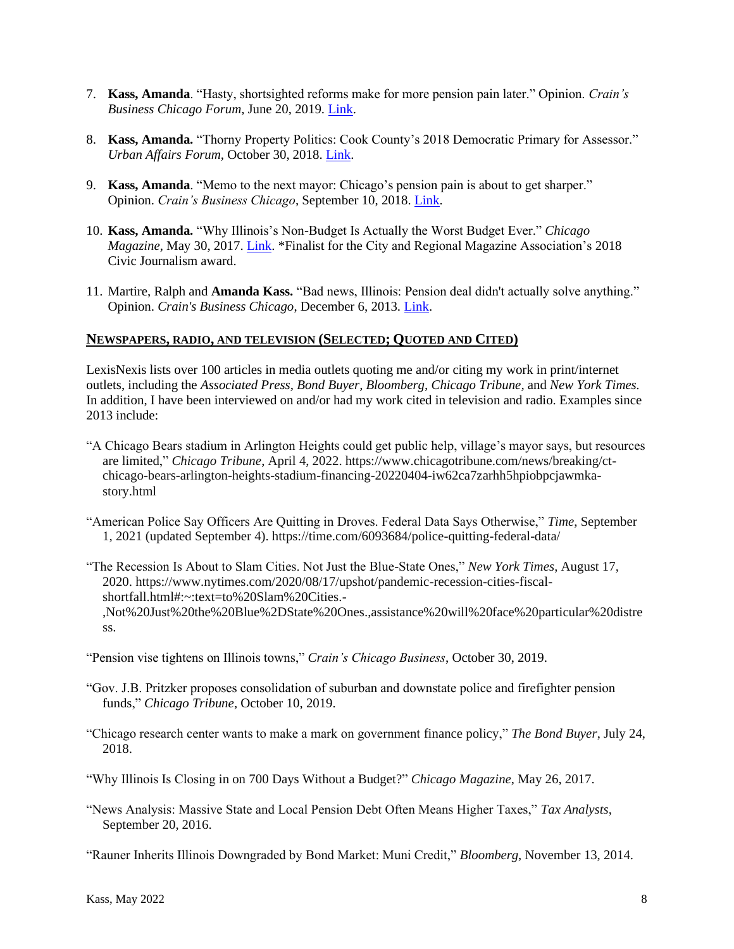- 7. **Kass, Amanda**. "Hasty, shortsighted reforms make for more pension pain later." Opinion. *Crain's Business Chicago Forum*, June 20, 2019. [Link.](https://www.chicagobusiness.com/forum-ideas/hasty-shortsighted-reforms-make-more-pension-pain-later)
- 8. **Kass, Amanda.** "Thorny Property Politics: Cook County's 2018 Democratic Primary for Assessor." *Urban Affairs Forum,* October 30, 2018. [Link.](https://urbanaffairsreview.com/2018/10/30/thorny-property-politics-cook-countys-2018-democratic-primary-for-assessor/)
- 9. **Kass, Amanda**. "Memo to the next mayor: Chicago's pension pain is about to get sharper." Opinion. *Crain's Business Chicago*, September 10, 2018[. Link.](https://www.chicagobusiness.com/opinion/memo-next-mayor-chicagos-pension-pain-about-get-sharper)
- 10. **Kass, Amanda.** "Why Illinois's Non-Budget Is Actually the Worst Budget Ever." *Chicago Magazine*, May 30, 2017. [Link.](https://www.chicagomag.com/city-life/May-2017/IL-Budget-Debt-Finance/) \*Finalist for the City and Regional Magazine Association's 2018 Civic Journalism award.
- 11. Martire, Ralph and **Amanda Kass.** "Bad news, Illinois: Pension deal didn't actually solve anything." Opinion. *Crain's Business Chicago*, December 6, 2013. [Link.](https://www.chicagobusiness.com/article/20131206/OPINION/131209852/bad-news-illinois-pension-deal-didn-t-actually-solve-anything)

#### **NEWSPAPERS, RADIO, AND TELEVISION (SELECTED; QUOTED AND CITED)**

LexisNexis lists over 100 articles in media outlets quoting me and/or citing my work in print/internet outlets, including the *Associated Press, Bond Buyer, Bloomberg, Chicago Tribune,* and *New York Times.*  In addition, I have been interviewed on and/or had my work cited in television and radio. Examples since 2013 include:

- "A Chicago Bears stadium in Arlington Heights could get public help, village's mayor says, but resources are limited," *Chicago Tribune*, April 4, 2022. https://www.chicagotribune.com/news/breaking/ctchicago-bears-arlington-heights-stadium-financing-20220404-iw62ca7zarhh5hpiobpcjawmkastory.html
- "American Police Say Officers Are Quitting in Droves. Federal Data Says Otherwise," *Time*, September 1, 2021 (updated September 4). https://time.com/6093684/police-quitting-federal-data/
- "The Recession Is About to Slam Cities. Not Just the Blue-State Ones," *New York Times*, August 17, 2020. https://www.nytimes.com/2020/08/17/upshot/pandemic-recession-cities-fiscalshortfall.html#:~:text=to%20Slam%20Cities.- ,Not%20Just%20the%20Blue%2DState%20Ones.,assistance%20will%20face%20particular%20distre ss.
- "Pension vise tightens on Illinois towns," *Crain's Chicago Business*, October 30, 2019.
- "Gov. J.B. Pritzker proposes consolidation of suburban and downstate police and firefighter pension funds," *Chicago Tribune*, October 10, 2019.
- "Chicago research center wants to make a mark on government finance policy," *The Bond Buyer*, July 24, 2018.
- "Why Illinois Is Closing in on 700 Days Without a Budget?" *Chicago Magazine*, May 26, 2017.
- "News Analysis: Massive State and Local Pension Debt Often Means Higher Taxes," *Tax Analysts*, September 20, 2016.

"Rauner Inherits Illinois Downgraded by Bond Market: Muni Credit," *Bloomberg*, November 13, 2014.